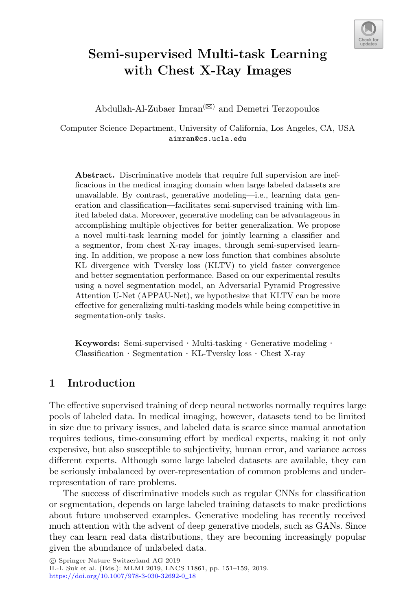

# **Semi-supervised Multi-task Learning with Chest X-Ray Images**

Abdullah-Al-Zubaer  $\text{Imran}^{(\boxtimes)}$  and Demetri Terzopoulos

Computer Science Department, University of California, Los Angeles, CA, USA aimran@cs.ucla.edu

**Abstract.** Discriminative models that require full supervision are inefficacious in the medical imaging domain when large labeled datasets are unavailable. By contrast, generative modeling—i.e., learning data generation and classification—facilitates semi-supervised training with limited labeled data. Moreover, generative modeling can be advantageous in accomplishing multiple objectives for better generalization. We propose a novel multi-task learning model for jointly learning a classifier and a segmentor, from chest X-ray images, through semi-supervised learning. In addition, we propose a new loss function that combines absolute KL divergence with Tversky loss (KLTV) to yield faster convergence and better segmentation performance. Based on our experimental results using a novel segmentation model, an Adversarial Pyramid Progressive Attention U-Net (APPAU-Net), we hypothesize that KLTV can be more effective for generalizing multi-tasking models while being competitive in segmentation-only tasks.

**Keywords:** Semi-supervised · Multi-tasking · Generative modeling · Classification · Segmentation · KL-Tversky loss · Chest X-ray

## **1 Introduction**

The effective supervised training of deep neural networks normally requires large pools of labeled data. In medical imaging, however, datasets tend to be limited in size due to privacy issues, and labeled data is scarce since manual annotation requires tedious, time-consuming effort by medical experts, making it not only expensive, but also susceptible to subjectivity, human error, and variance across different experts. Although some large labeled datasets are available, they can be seriously imbalanced by over-representation of common problems and underrepresentation of rare problems.

The success of discriminative models such as regular CNNs for classification or segmentation, depends on large labeled training datasets to make predictions about future unobserved examples. Generative modeling has recently received much attention with the advent of deep generative models, such as GANs. Since they can learn real data distributions, they are becoming increasingly popular given the abundance of unlabeled data.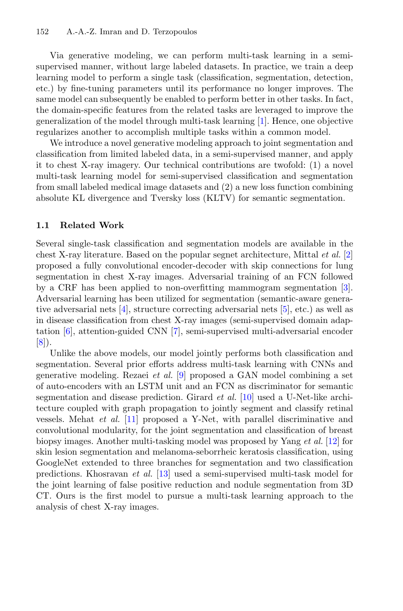Via generative modeling, we can perform multi-task learning in a semisupervised manner, without large labeled datasets. In practice, we train a deep learning model to perform a single task (classification, segmentation, detection, etc.) by fine-tuning parameters until its performance no longer improves. The same model can subsequently be enabled to perform better in other tasks. In fact, the domain-specific features from the related tasks are leveraged to improve the generalization of the model through multi-task learning [\[1](#page-7-0)]. Hence, one objective regularizes another to accomplish multiple tasks within a common model.

We introduce a novel generative modeling approach to joint segmentation and classification from limited labeled data, in a semi-supervised manner, and apply it to chest X-ray imagery. Our technical contributions are twofold: (1) a novel multi-task learning model for semi-supervised classification and segmentation from small labeled medical image datasets and (2) a new loss function combining absolute KL divergence and Tversky loss (KLTV) for semantic segmentation.

#### **1.1 Related Work**

Several single-task classification and segmentation models are available in the chest X-ray literature. Based on the popular segnet architecture, Mittal *et al.* [\[2](#page-7-1)] proposed a fully convolutional encoder-decoder with skip connections for lung segmentation in chest X-ray images. Adversarial training of an FCN followed by a CRF has been applied to non-overfitting mammogram segmentation [\[3\]](#page-7-2). Adversarial learning has been utilized for segmentation (semantic-aware generative adversarial nets [\[4](#page-7-3)], structure correcting adversarial nets [\[5](#page-7-4)], etc.) as well as in disease classification from chest X-ray images (semi-supervised domain adaptation [\[6\]](#page-8-0), attention-guided CNN [\[7](#page-8-1)], semi-supervised multi-adversarial encoder [\[8](#page-8-2)]).

Unlike the above models, our model jointly performs both classification and segmentation. Several prior efforts address multi-task learning with CNNs and generative modeling. Rezaei *et al.* [\[9](#page-8-3)] proposed a GAN model combining a set of auto-encoders with an LSTM unit and an FCN as discriminator for semantic segmentation and disease prediction. Girard *et al.* [\[10](#page-8-4)] used a U-Net-like architecture coupled with graph propagation to jointly segment and classify retinal vessels. Mehat *et al.* [\[11](#page-8-5)] proposed a Y-Net, with parallel discriminative and convolutional modularity, for the joint segmentation and classification of breast biopsy images. Another multi-tasking model was proposed by Yang *et al.* [\[12\]](#page-8-6) for skin lesion segmentation and melanoma-seborrheic keratosis classification, using GoogleNet extended to three branches for segmentation and two classification predictions. Khosravan *et al.* [\[13](#page-8-7)] used a semi-supervised multi-task model for the joint learning of false positive reduction and nodule segmentation from 3D CT. Ours is the first model to pursue a multi-task learning approach to the analysis of chest X-ray images.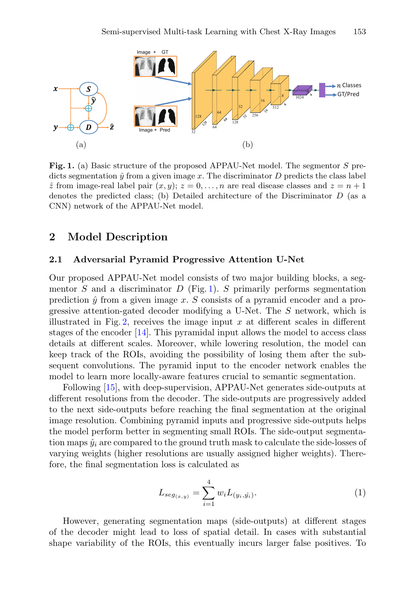

<span id="page-2-0"></span>**Fig. 1.** (a) Basic structure of the proposed APPAU-Net model. The segmentor *S* predicts segmentation  $\hat{y}$  from a given image  $x$ . The discriminator  $D$  predicts the class label  $\hat{z}$  from image-real label pair  $(x, y)$ ;  $z = 0, \ldots, n$  are real disease classes and  $z = n + 1$ denotes the predicted class; (b) Detailed architecture of the Discriminator *D* (as a CNN) network of the APPAU-Net model.

### **2 Model Description**

#### **2.1 Adversarial Pyramid Progressive Attention U-Net**

Our proposed APPAU-Net model consists of two major building blocks, a segmentor  $S$  and a discriminator  $D$  (Fig. [1\)](#page-2-0).  $S$  primarily performs segmentation prediction  $\hat{y}$  from a given image x. S consists of a pyramid encoder and a progressive attention-gated decoder modifying a U-Net. The S network, which is illustrated in Fig. [2,](#page-3-0) receives the image input  $x$  at different scales in different stages of the encoder [\[14\]](#page-8-8). This pyramidal input allows the model to access class details at different scales. Moreover, while lowering resolution, the model can keep track of the ROIs, avoiding the possibility of losing them after the subsequent convolutions. The pyramid input to the encoder network enables the model to learn more locally-aware features crucial to semantic segmentation.

Following [\[15\]](#page-8-9), with deep-supervision, APPAU-Net generates side-outputs at different resolutions from the decoder. The side-outputs are progressively added to the next side-outputs before reaching the final segmentation at the original image resolution. Combining pyramid inputs and progressive side-outputs helps the model perform better in segmenting small ROIs. The side-output segmentation maps  $\hat{y}_i$  are compared to the ground truth mask to calculate the side-losses of varying weights (higher resolutions are usually assigned higher weights). Therefore, the final segmentation loss is calculated as

$$
L_{seg(x,y)} = \sum_{i=1}^{4} w_i L_{(y_i, \hat{y_i})}.
$$
 (1)

However, generating segmentation maps (side-outputs) at different stages of the decoder might lead to loss of spatial detail. In cases with substantial shape variability of the ROIs, this eventually incurs larger false positives. To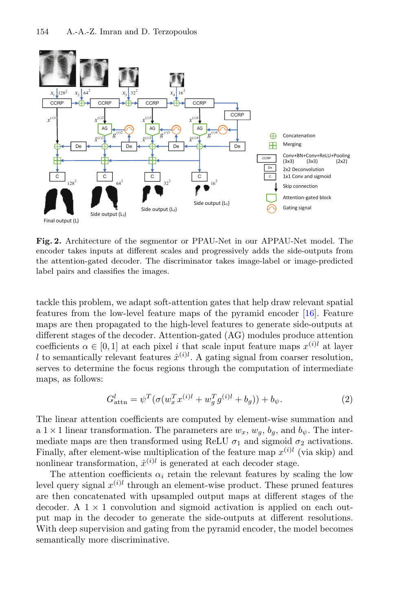

<span id="page-3-0"></span>**Fig. 2.** Architecture of the segmentor or PPAU-Net in our APPAU-Net model. The encoder takes inputs at different scales and progressively adds the side-outputs from the attention-gated decoder. The discriminator takes image-label or image-predicted label pairs and classifies the images.

tackle this problem, we adapt soft-attention gates that help draw relevant spatial features from the low-level feature maps of the pyramid encoder [\[16\]](#page-8-10). Feature maps are then propagated to the high-level features to generate side-outputs at different stages of the decoder. Attention-gated (AG) modules produce attention coefficients  $\alpha \in [0, 1]$  at each pixel i that scale input feature maps  $x^{(i)l}$  at layer l to semantically relevant features  $\hat{x}^{(i)l}$ . A gating signal from coarser resolution,<br>serves to determine the focus regions through the computation of intermediate serves to determine the focus regions through the computation of intermediate maps, as follows:

$$
G_{\text{attn}}^l = \psi^T (\sigma (w_x^T x^{(i)l} + w_g^T g^{(i)l} + b_g)) + b_{\psi}.
$$
 (2)

The linear attention coefficients are computed by element-wise summation and a 1 × 1 linear transformation. The parameters are  $w_x$ ,  $w_g$ ,  $b_g$ , and  $b_\psi$ . The inter-<br>mediate maps are then transformed using ReLU  $\sigma_1$  and sigmoid  $\sigma_2$  activations mediate maps are then transformed using ReLU  $\sigma_1$  and sigmoid  $\sigma_2$  activations.<br>Finally after element-wise multiplication of the feature map  $x^{(i)l}$  (via skip) and Finally, after element-wise multiplication of the feature map  $x^{(i)l}$  (via skip) and nonlinear transformation,  $\hat{x}^{(i)l}$  is generated at each decoder stage.

The attention coefficients  $\alpha_i$  retain the relevant features by scaling the low level query signal  $x^{(i)l}$  through an element-wise product. These pruned features are then concatenated with upsampled output maps at different stages of the decoder. A  $1 \times 1$  convolution and sigmoid activation is applied on each output map in the decoder to generate the side-outputs at different resolutions. With deep supervision and gating from the pyramid encoder, the model becomes semantically more discriminative.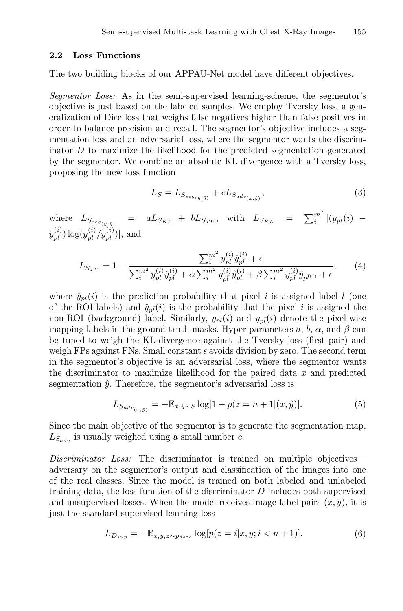#### **2.2 Loss Functions**

The two building blocks of our APPAU-Net model have different objectives.

*Segmentor Loss:* As in the semi-supervised learning-scheme, the segmentor's objective is just based on the labeled samples. We employ Tversky loss, a generalization of Dice loss that weighs false negatives higher than false positives in order to balance precision and recall. The segmentor's objective includes a segmentation loss and an adversarial loss, where the segmentor wants the discriminator  $D$  to maximize the likelihood for the predicted segmentation generated by the segmentor. We combine an absolute KL divergence with a Tversky loss, proposing the new loss function

$$
L_S = L_{S_{seg(y,\hat{y})}} + c L_{S_{adv(x,\hat{y})}},
$$
\n(3)

where  $L_{S_{seg(y,\hat{y})}} = aL_{S_{KL}} + bL_{S_{TV}},$  with  $L_{S_{KL}} = \sum_{i=1}^{m} |(y_{pl}(i) - y_{lj}(j))|$  $(\hat{y}_{pl}^{(i)}) \log(y_{pl}^{(i)}/\hat{y}_{pl}^{(i)})|$ , and

$$
L_{S_{TV}} = 1 - \frac{\sum_{i}^{m^2} y_{pl}^{(i)} \hat{y}_{pl}^{(i)} + \epsilon}{\sum_{i}^{m^2} y_{pl}^{(i)} \hat{y}_{pl}^{(i)} + \alpha \sum_{i}^{m^2} y_{pl}^{(i)} \hat{y}_{pl}^{(i)} + \beta \sum_{i}^{m^2} y_{pl}^{(i)} \hat{y}_{pl}^{(i)} + \epsilon},
$$
(4)

where  $\hat{y}_{nl}(i)$  is the prediction probability that pixel i is assigned label l (one of the ROI labels) and  $\hat{y}_{n\bar{l}}(i)$  is the probability that the pixel i is assigned the non-ROI (background) label. Similarly,  $y_{pl}(i)$  and  $y_{pl}(i)$  denote the pixel-wise mapping labels in the ground-truth masks. Hyper parameters a, b,  $\alpha$ , and  $\beta$  can be tuned to weigh the KL-divergence against the Tversky loss (first pair) and weigh FPs against FNs. Small constant  $\epsilon$  avoids division by zero. The second term in the segmentor's objective is an adversarial loss, where the segmentor wants the discriminator to maximize likelihood for the paired data  $x$  and predicted segmentation  $\hat{y}$ . Therefore, the segmentor's adversarial loss is

$$
L_{S_{adv}(x,\hat{y})} = -\mathbb{E}_{x,\hat{y}\sim S} \log[1 - p(z = n + 1|(x,\hat{y})]. \tag{5}
$$

Since the main objective of the segmentor is to generate the segmentation map,  $L_{S_{adv}}$  is usually weighed using a small number c.

*Discriminator Loss:* The discriminator is trained on multiple objectives adversary on the segmentor's output and classification of the images into one of the real classes. Since the model is trained on both labeled and unlabeled training data, the loss function of the discriminator  $D$  includes both supervised and unsupervised losses. When the model receives image-label pairs  $(x, y)$ , it is just the standard supervised learning loss

$$
L_{D_{sup}} = -\mathbb{E}_{x,y,z \sim p_{data}} \log[p(z=i|x,y;i (6)
$$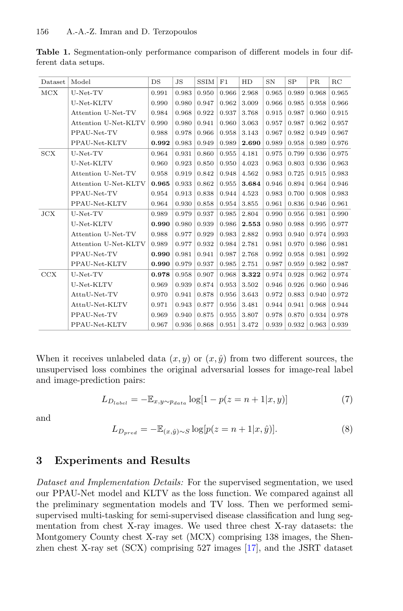| Dataset | Model                | DS    | $_{\rm JS}$ | SSIM  | F1    | HD    | $_{\rm SN}$ | SP    | PR    | $_{\rm RC}$ |
|---------|----------------------|-------|-------------|-------|-------|-------|-------------|-------|-------|-------------|
| MCX     | $U-Net-TV$           | 0.991 | 0.983       | 0.950 | 0.966 | 2.968 | 0.965       | 0.989 | 0.968 | 0.965       |
|         | U-Net-KLTV           | 0.990 | 0.980       | 0.947 | 0.962 | 3.009 | 0.966       | 0.985 | 0.958 | 0.966       |
|         | Attention U-Net-TV   | 0.984 | 0.968       | 0.922 | 0.937 | 3.768 | 0.915       | 0.987 | 0.960 | 0.915       |
|         | Attention U-Net-KLTV | 0.990 | 0.980       | 0.941 | 0.960 | 3.063 | 0.957       | 0.987 | 0.962 | 0.957       |
|         | PPAU-Net-TV          | 0.988 | 0.978       | 0.966 | 0.958 | 3.143 | 0.967       | 0.982 | 0.949 | 0.967       |
|         | PPAU-Net-KLTV        | 0.992 | 0.983       | 0.949 | 0.989 | 2.690 | 0.989       | 0.958 | 0.989 | 0.976       |
| SCX     | $U-Net-TV$           | 0.964 | 0.931       | 0.860 | 0.955 | 4.181 | 0.975       | 0.799 | 0.936 | 0.975       |
|         | U-Net-KLTV           | 0.960 | 0.923       | 0.850 | 0.950 | 4.023 | 0.963       | 0.803 | 0.936 | 0.963       |
|         | Attention U-Net-TV   | 0.958 | 0.919       | 0.842 | 0.948 | 4.562 | 0.983       | 0.725 | 0.915 | 0.983       |
|         | Attention U-Net-KLTV | 0.965 | 0.933       | 0.862 | 0.955 | 3.684 | 0.946       | 0.894 | 0.964 | 0.946       |
|         | PPAU-Net-TV          | 0.954 | 0.913       | 0.838 | 0.944 | 4.523 | 0.983       | 0.700 | 0.908 | 0.983       |
|         | PPAU-Net-KLTV        | 0.964 | 0.930       | 0.858 | 0.954 | 3.855 | 0.961       | 0.836 | 0.946 | 0.961       |
| JCX     | $U-Net-TV$           | 0.989 | 0.979       | 0.937 | 0.985 | 2.804 | 0.990       | 0.956 | 0.981 | 0.990       |
|         | U-Net-KLTV           | 0.990 | 0.980       | 0.939 | 0.986 | 2.553 | 0.980       | 0.988 | 0.995 | 0.977       |
|         | Attention U-Net-TV   | 0.988 | 0.977       | 0.929 | 0.983 | 2.882 | 0.993       | 0.940 | 0.974 | 0.993       |
|         | Attention U-Net-KLTV | 0.989 | 0.977       | 0.932 | 0.984 | 2.781 | 0.981       | 0.970 | 0.986 | 0.981       |
|         | PPAU-Net-TV          | 0.990 | 0.981       | 0.941 | 0.987 | 2.768 | 0.992       | 0.958 | 0.981 | 0.992       |
|         | PPAU-Net-KLTV        | 0.990 | 0.979       | 0.937 | 0.985 | 2.751 | 0.987       | 0.959 | 0.982 | 0.987       |
| CCX     | $U-Net-TV$           | 0.978 | 0.958       | 0.907 | 0.968 | 3.322 | 0.974       | 0.928 | 0.962 | 0.974       |
|         | U-Net-KLTV           | 0.969 | 0.939       | 0.874 | 0.953 | 3.502 | 0.946       | 0.926 | 0.960 | 0.946       |
|         | AttnU-Net-TV         | 0.970 | 0.941       | 0.878 | 0.956 | 3.643 | 0.972       | 0.883 | 0.940 | 0.972       |
|         | AttnU-Net-KLTV       | 0.971 | 0.943       | 0.877 | 0.956 | 3.481 | 0.944       | 0.941 | 0.968 | 0.944       |
|         | PPAU-Net-TV          | 0.969 | 0.940       | 0.875 | 0.955 | 3.807 | 0.978       | 0.870 | 0.934 | 0.978       |
|         | PPAU-Net-KLTV        | 0.967 | 0.936       | 0.868 | 0.951 | 3.472 | 0.939       | 0.932 | 0.963 | 0.939       |

<span id="page-5-0"></span>**Table 1.** Segmentation-only performance comparison of different models in four different data setups.

When it receives unlabeled data  $(x, y)$  or  $(x, \hat{y})$  from two different sources, the unsupervised loss combines the original adversarial losses for image-real label and image-prediction pairs:

$$
L_{D_{label}} = -\mathbb{E}_{x,y \sim p_{data}} \log[1 - p(z = n + 1|x, y)] \tag{7}
$$

and

$$
L_{D_{pred}} = -\mathbb{E}_{(x,\hat{y}) \sim S} \log [p(z = n + 1 | x, \hat{y})]. \tag{8}
$$

### **3 Experiments and Results**

*Dataset and Implementation Details:* For the supervised segmentation, we used our PPAU-Net model and KLTV as the loss function. We compared against all the preliminary segmentation models and TV loss. Then we performed semisupervised multi-tasking for semi-supervised disease classification and lung segmentation from chest X-ray images. We used three chest X-ray datasets: the Montgomery County chest X-ray set (MCX) comprising 138 images, the Shenzhen chest X-ray set (SCX) comprising 527 images [\[17](#page-8-11)], and the JSRT dataset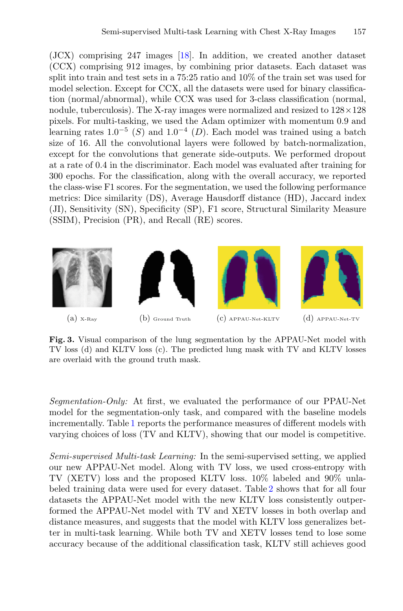(JCX) comprising 247 images [\[18](#page-8-12)]. In addition, we created another dataset (CCX) comprising 912 images, by combining prior datasets. Each dataset was split into train and test sets in a 75:25 ratio and 10% of the train set was used for model selection. Except for CCX, all the datasets were used for binary classification (normal/abnormal), while CCX was used for 3-class classification (normal, nodule, tuberculosis). The X-ray images were normalized and resized to  $128 \times 128$ pixels. For multi-tasking, we used the Adam optimizer with momentum 0.9 and learning rates  $1.0^{-5}$  (S) and  $1.0^{-4}$  (D). Each model was trained using a batch size of 16. All the convolutional layers were followed by batch-normalization, except for the convolutions that generate side-outputs. We performed dropout at a rate of 0.4 in the discriminator. Each model was evaluated after training for 300 epochs. For the classification, along with the overall accuracy, we reported the class-wise F1 scores. For the segmentation, we used the following performance metrics: Dice similarity (DS), Average Hausdorff distance (HD), Jaccard index (JI), Sensitivity (SN), Specificity (SP), F1 score, Structural Similarity Measure (SSIM), Precision (PR), and Recall (RE) scores.



<span id="page-6-0"></span>**Fig. 3.** Visual comparison of the lung segmentation by the APPAU-Net model with TV loss (d) and KLTV loss (c). The predicted lung mask with TV and KLTV losses are overlaid with the ground truth mask.

*Segmentation-Only:* At first, we evaluated the performance of our PPAU-Net model for the segmentation-only task, and compared with the baseline models incrementally. Table [1](#page-5-0) reports the performance measures of different models with varying choices of loss (TV and KLTV), showing that our model is competitive.

*Semi-supervised Multi-task Learning:* In the semi-supervised setting, we applied our new APPAU-Net model. Along with TV loss, we used cross-entropy with TV (XETV) loss and the proposed KLTV loss. 10% labeled and 90% unlabeled training data were used for every dataset. Table [2](#page-7-5) shows that for all four datasets the APPAU-Net model with the new KLTV loss consistently outperformed the APPAU-Net model with TV and XETV losses in both overlap and distance measures, and suggests that the model with KLTV loss generalizes better in multi-task learning. While both TV and XETV losses tend to lose some accuracy because of the additional classification task, KLTV still achieves good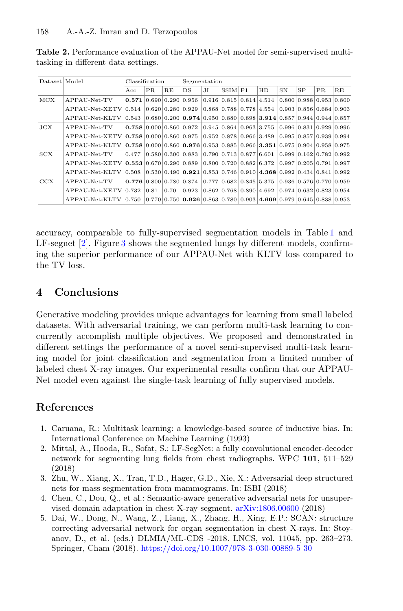| Dataset   Model |                                        | Classification |      |      | Segmentation                                                                                                                                      |    |                                 |  |                                          |             |                                          |     |                                          |
|-----------------|----------------------------------------|----------------|------|------|---------------------------------------------------------------------------------------------------------------------------------------------------|----|---------------------------------|--|------------------------------------------|-------------|------------------------------------------|-----|------------------------------------------|
|                 |                                        | Acc            | PR.  | RE   | DS                                                                                                                                                | JІ | $SSIM$ $F1$                     |  | HD                                       | $_{\rm SN}$ | SP                                       | PR. | RE                                       |
| MCX             | APPAU-Net-TV                           |                |      |      | 0.571 0.690 0.290 0.956                                                                                                                           |    |                                 |  | $0.916$ 0.815 0.814 4.514                |             |                                          |     | $0.800 \, 0.988 \, 0.953 \, 0.800$       |
|                 | $APPAU-Net-XFTV 0.514$                 |                |      |      | $0.620$ $0.280$ $0.929$                                                                                                                           |    |                                 |  | $0.868$ $0.788$ $0.778$ $4.554$          |             |                                          |     | $0.903 \mid 0.856 \mid 0.684 \mid 0.903$ |
|                 | APPAU-Net-KLTV                         | 0.543          |      |      | $\vert 0.680 \vert 0.200 \vert$ 0.974 $\vert 0.950 \vert 0.880 \vert 0.898 \vert$ 3.914 $\vert 0.857 \vert 0.944 \vert 0.944 \vert 0.857$         |    |                                 |  |                                          |             |                                          |     |                                          |
| $_{\rm JCX}$    | APPAU-Net-TV                           |                |      |      | $0.758$ 0.000 0.860 0.972                                                                                                                         |    |                                 |  | $0.945 \, 0.864 \, 0.963 \, 3.755$       |             | $0.996$ $0.831$ $0.929$ $0.996$          |     |                                          |
|                 | APPAU-Net-XETV 0.758 0.000 0.860 0.975 |                |      |      |                                                                                                                                                   |    |                                 |  | $0.952$ $0.878$ $0.966$ $3.489$          |             | $0.995 \mid 0.857 \mid 0.939 \mid 0.994$ |     |                                          |
|                 | APPAU-Net-KLTV                         |                |      |      | $\vert 0.758 \vert 0.000 \vert 0.860 \vert 0.976 \vert 0.953 \vert 0.885 \vert 0.966 \vert 3.351 \vert 0.975 \vert 0.904 \vert 0.958 \vert 0.975$ |    |                                 |  |                                          |             |                                          |     |                                          |
| SCX             | APPAU-Net-TV                           | 0.477          |      |      | $0.580$ $0.300$ $0.883$                                                                                                                           |    | $0.790$ $0.713$ $0.877$ $6.601$ |  |                                          |             |                                          |     | $0.999 \mid 0.162 \mid 0.782 \mid 0.992$ |
|                 | APPAU-Net-XETV 0.553 0.670 0.290 0.889 |                |      |      |                                                                                                                                                   |    |                                 |  | $0.800$ $0.720$ $0.882$ $6.372$          |             | $0.997$ $0.205$ $0.791$ $0.997$          |     |                                          |
|                 | APPAU-Net-KLTV                         |                |      |      | $\vert 0.508 \vert 0.530 \vert 0.490 \vert 0.921 \vert 0.853 \vert 0.746 \vert 0.910 \vert 4.368 \vert 0.992 \vert 0.434 \vert 0.841 \vert 0.992$ |    |                                 |  |                                          |             |                                          |     |                                          |
| CCX             | ${\rm APPAU\text{-}Net\text{-}TV}$     |                |      |      | $0.776$ $0.800$ $0.780$ $0.874$                                                                                                                   |    |                                 |  | $0.777$ $0.682$ $0.845$ $5.375$          |             |                                          |     | $0.936$ $0.576$ $0.770$ $0.959$          |
|                 | APPAU-Net-XETV 0.732                   |                | 0.81 | 0.70 | $\vert 0.923 \vert$                                                                                                                               |    |                                 |  | $0.862 \mid 0.768 \mid 0.890 \mid 4.692$ |             | $0.974$ $0.632$ $0.823$ $0.954$          |     |                                          |
|                 | APPAU-Net-KLTV 0.750                   |                |      |      | $[0.770]$ 0.750 $[0.926]$ 0.863 $[0.780]$ 0.903 $[4.669]$ 0.979 $[0.645]$ 0.838 $[0.953]$                                                         |    |                                 |  |                                          |             |                                          |     |                                          |

<span id="page-7-5"></span>**Table 2.** Performance evaluation of the APPAU-Net model for semi-supervised multitasking in different data settings.

accuracy, comparable to fully-supervised segmentation models in Table [1](#page-5-0) and LF-segnet [\[2\]](#page-7-1). Figure [3](#page-6-0) shows the segmented lungs by different models, confirming the superior performance of our APPAU-Net with KLTV loss compared to the TV loss.

# **4 Conclusions**

Generative modeling provides unique advantages for learning from small labeled datasets. With adversarial training, we can perform multi-task learning to concurrently accomplish multiple objectives. We proposed and demonstrated in different settings the performance of a novel semi-supervised multi-task learning model for joint classification and segmentation from a limited number of labeled chest X-ray images. Our experimental results confirm that our APPAU-Net model even against the single-task learning of fully supervised models.

# **References**

- <span id="page-7-0"></span>1. Caruana, R.: Multitask learning: a knowledge-based source of inductive bias. In: International Conference on Machine Learning (1993)
- <span id="page-7-1"></span>2. Mittal, A., Hooda, R., Sofat, S.: LF-SegNet: a fully convolutional encoder-decoder network for segmenting lung fields from chest radiographs. WPC **101**, 511–529 (2018)
- <span id="page-7-2"></span>3. Zhu, W., Xiang, X., Tran, T.D., Hager, G.D., Xie, X.: Adversarial deep structured nets for mass segmentation from mammograms. In: ISBI (2018)
- <span id="page-7-3"></span>4. Chen, C., Dou, Q., et al.: Semantic-aware generative adversarial nets for unsupervised domain adaptation in chest X-ray segment. [arXiv:1806.00600](http://arxiv.org/abs/1806.00600) (2018)
- <span id="page-7-4"></span>5. Dai, W., Dong, N., Wang, Z., Liang, X., Zhang, H., Xing, E.P.: SCAN: structure correcting adversarial network for organ segmentation in chest X-rays. In: Stoyanov, D., et al. (eds.) DLMIA/ML-CDS -2018. LNCS, vol. 11045, pp. 263–273. Springer, Cham (2018). [https://doi.org/10.1007/978-3-030-00889-5](https://doi.org/10.1007/978-3-030-00889-5_30) 30